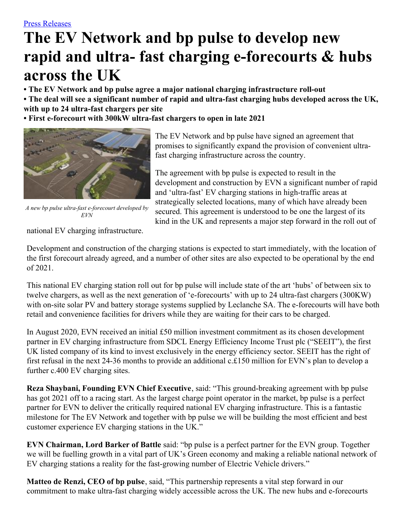# **The EV Network and bp pulse to develop new rapid and ultra- fast charging e-forecourts & hubs across the UK**

**• The EV Network and bp pulse agree a major national charging infrastructure roll-out**

• The deal will see a significant number of rapid and ultra-fast charging hubs developed across the UK, **with up to 24 ultra-fast chargers per site**

**• First e-forecourt with 300kW ultra-fast chargers to open in late 2021**



*A new bp pulse ultra-fast e-forecourt developed by EVN*

The EV Network and bp pulse have signed an agreement that promises to significantly expand the provision of convenient ultrafast charging infrastructure across the country.

The agreement with bp pulse is expected to result in the development and construction by EVN a significant number of rapid and 'ultra-fast' EV charging stations in high-traffic areas at strategically selected locations, many of which have already been secured. This agreement is understood to be one the largest of its kind in the UK and represents a major step forward in the roll out of

national EV charging infrastructure.

Development and construction of the charging stations is expected to start immediately, with the location of the first forecourt already agreed, and a number of other sites are also expected to be operational by the end of 2021.

This national EV charging station roll out for bp pulse will include state of the art 'hubs' of between six to twelve chargers, as well as the next generation of 'e-forecourts' with up to 24 ultra-fast chargers (300KW) with on-site solar PV and battery storage systems supplied by Leclanche SA. The e-forecourts will have both retail and convenience facilities for drivers while they are waiting for their cars to be charged.

In August 2020, EVN received an initial £50 million investment commitment as its chosen development partner in EV charging infrastructure from SDCL Energy Efficiency Income Trust plc ("SEEIT"), the first UK listed company of its kind to invest exclusively in the energy efficiency sector. SEEIT has the right of first refusal in the next 24-36 months to provide an additional c.£150 million for EVN's plan to develop a further c.400 EV charging sites.

**Reza Shaybani, Founding EVN Chief Executive**, said: "This ground-breaking agreement with bp pulse has got 2021 off to a racing start. As the largest charge point operator in the market, bp pulse is a perfect partner for EVN to deliver the critically required national EV charging infrastructure. This is a fantastic milestone for The EV Network and together with bp pulse we will be building the most efficient and best customer experience EV charging stations in the UK."

**EVN Chairman, Lord Barker of Battle** said: "bp pulse is a perfect partner for the EVN group. Together we will be fuelling growth in a vital part of UK's Green economy and making a reliable national network of EV charging stations a reality for the fast-growing number of Electric Vehicle drivers."

**Matteo de Renzi, CEO of bp pulse**, said, "This partnership represents a vital step forward in our commitment to make ultra-fast charging widely accessible across the UK. The new hubs and e-forecourts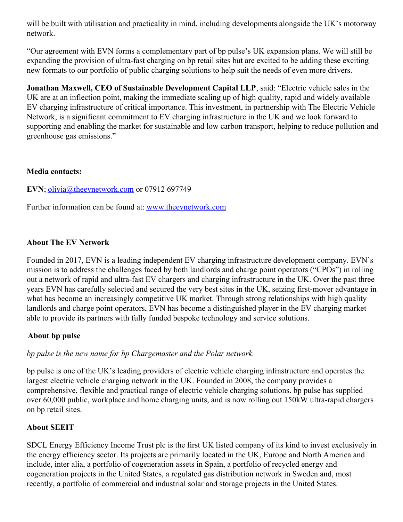will be built with utilisation and practicality in mind, including developments alongside the UK's motorway network.

"Our agreement with EVN forms a complementary part of bp pulse's UK expansion plans. We will still be expanding the provision of ultra-fast charging on bp retail sites but are excited to be adding these exciting new formats to our portfolio of public charging solutions to help suit the needs of even more drivers.

**Jonathan Maxwell, CEO of Sustainable Development Capital LLP**, said: "Electric vehicle sales in the UK are at an inflection point, making the immediate scaling up of high quality, rapid and widely available EV charging infrastructure of critical importance. This investment, in partnership with The Electric Vehicle Network, is a significant commitment to EV charging infrastructure in the UK and we look forward to supporting and enabling the market for sustainable and low carbon transport, helping to reduce pollution and greenhouse gas emissions."

#### **Media contacts:**

**EVN**; [olivia@theevnetwork.com](mailto:olivia@theevnetwork.com) or 07912 697749

Further information can be found at: [www.theevnetwork.com](http://www.theevnetwork.com/)

## **About The EV Network**

Founded in 2017, EVN is a leading independent EV charging infrastructure development company. EVN's mission is to address the challenges faced by both landlords and charge point operators ("CPOs") in rolling out a network of rapid and ultra-fast EV chargers and charging infrastructure in the UK. Over the past three years EVN has carefully selected and secured the very best sites in the UK, seizing first-mover advantage in what has become an increasingly competitive UK market. Through strong relationships with high quality landlords and charge point operators, EVN has become a distinguished player in the EV charging market able to provide its partners with fully funded bespoke technology and service solutions.

## **About bp pulse**

## *bp pulse is the new name for bp Chargemaster and the Polar network.*

bp pulse is one of the UK's leading providers of electric vehicle charging infrastructure and operates the largest electric vehicle charging network in the UK. Founded in 2008, the company provides a comprehensive, flexible and practical range of electric vehicle charging solutions. bp pulse has supplied over 60,000 public, workplace and home charging units, and is now rolling out 150kW ultra-rapid chargers on bp retail sites.

## **About SEEIT**

SDCL Energy Efficiency Income Trust plc is the first UK listed company of its kind to invest exclusively in the energy efficiency sector. Its projects are primarily located in the UK, Europe and North America and include, inter alia, a portfolio of cogeneration assets in Spain, a portfolio of recycled energy and cogeneration projects in the United States, a regulated gas distribution network in Sweden and, most recently, a portfolio of commercial and industrial solar and storage projects in the United States.